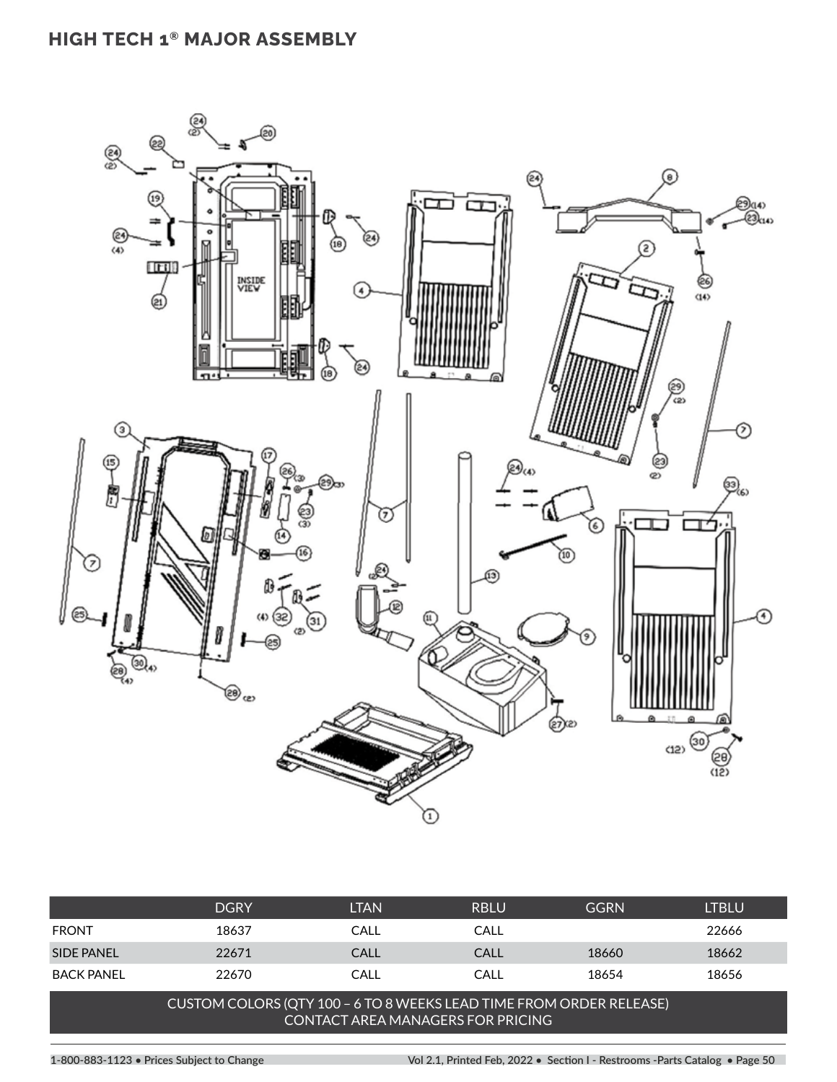## **HIGH TECH 1® MAJOR ASSEMBLY**



|                   | <b>DGRY</b> | LTAN        | <b>RBLU</b> | <b>GGRN</b> | ltblu |
|-------------------|-------------|-------------|-------------|-------------|-------|
| <b>FRONT</b>      | 18637       | CALL        | CALL        |             | 22666 |
| SIDE PANEL        | 22671       | <b>CALL</b> | CALL        | 18660       | 18662 |
| <b>BACK PANEL</b> | 22670       | CALL        | CALL        | 18654       | 18656 |

## CUSTOM COLORS (QTY 100 – 6 TO 8 WEEKS LEAD TIME FROM ORDER RELEASE) CONTACT AREA MANAGERS FOR PRICING

**1-800-883-1123 • Prices Subject to Change Vol 2.1, Printed Feb, 2022 • Section I - Restrooms -Parts Catalog • Page 50**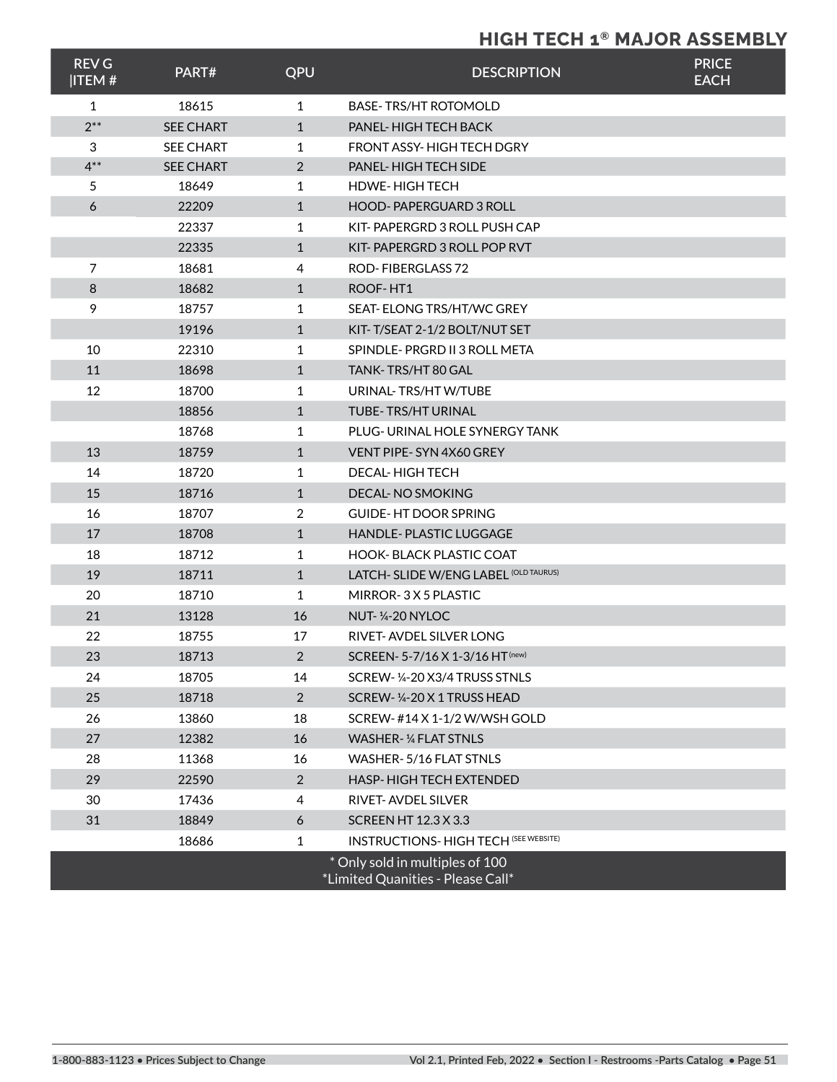## **HIGH TECH 1® MAJOR ASSEMBLY**

| <b>REV G</b><br><b>ITEM#</b> | PART#            | QPU            | <b>DESCRIPTION</b>                                                   | <b>PRICE</b><br><b>EACH</b> |
|------------------------------|------------------|----------------|----------------------------------------------------------------------|-----------------------------|
| $\mathbf{1}$                 | 18615            | 1              | <b>BASE-TRS/HT ROTOMOLD</b>                                          |                             |
| $2***$                       | <b>SEE CHART</b> | $\mathbf{1}$   | <b>PANEL-HIGH TECH BACK</b>                                          |                             |
| 3                            | <b>SEE CHART</b> | $\mathbf{1}$   | FRONT ASSY-HIGH TECH DGRY                                            |                             |
| $4***$                       | <b>SEE CHART</b> | 2              | <b>PANEL-HIGH TECH SIDE</b>                                          |                             |
| 5                            | 18649            | 1              | <b>HDWE-HIGH TECH</b>                                                |                             |
| 6                            | 22209            | $\mathbf{1}$   | HOOD-PAPERGUARD 3 ROLL                                               |                             |
|                              | 22337            | 1              | KIT-PAPERGRD 3 ROLL PUSH CAP                                         |                             |
|                              | 22335            | $\mathbf{1}$   | KIT-PAPERGRD 3 ROLL POP RVT                                          |                             |
| 7                            | 18681            | 4              | <b>ROD-FIBERGLASS 72</b>                                             |                             |
| 8                            | 18682            | $\mathbf{1}$   | ROOF-HT1                                                             |                             |
| 9                            | 18757            | 1              | SEAT-ELONG TRS/HT/WC GREY                                            |                             |
|                              | 19196            | $\mathbf{1}$   | KIT-T/SEAT 2-1/2 BOLT/NUT SET                                        |                             |
| 10                           | 22310            | 1              | SPINDLE-PRGRD II 3 ROLL META                                         |                             |
| 11                           | 18698            | $\mathbf{1}$   | TANK-TRS/HT 80 GAL                                                   |                             |
| 12                           | 18700            | 1              | URINAL-TRS/HTW/TUBE                                                  |                             |
|                              | 18856            | $\mathbf{1}$   | TUBE-TRS/HT URINAL                                                   |                             |
|                              | 18768            | 1              | PLUG- URINAL HOLE SYNERGY TANK                                       |                             |
| 13                           | 18759            | $\mathbf{1}$   | VENT PIPE-SYN 4X60 GREY                                              |                             |
| 14                           | 18720            | 1              | <b>DECAL-HIGH TECH</b>                                               |                             |
| 15                           | 18716            | $\mathbf{1}$   | <b>DECAL-NO SMOKING</b>                                              |                             |
| 16                           | 18707            | 2              | <b>GUIDE-HT DOOR SPRING</b>                                          |                             |
| 17                           | 18708            | $\mathbf{1}$   | <b>HANDLE-PLASTIC LUGGAGE</b>                                        |                             |
| 18                           | 18712            | 1              | <b>HOOK-BLACK PLASTIC COAT</b>                                       |                             |
| 19                           | 18711            | $\mathbf{1}$   | LATCH- SLIDE W/ENG LABEL (OLD TAURUS)                                |                             |
| 20                           | 18710            | $\mathbf{1}$   | MIRROR-3X5PLASTIC                                                    |                             |
| 21                           | 13128            | 16             | <b>NUT-1/4-20 NYLOC</b>                                              |                             |
| 22                           | 18755            | 17             | RIVET-AVDEL SILVER LONG                                              |                             |
| 23                           | 18713            | 2              | SCREEN- 5-7/16 X 1-3/16 HT (new)                                     |                             |
| 24                           | 18705            | 14             | SCREW-1/4-20 X3/4 TRUSS STNLS                                        |                             |
| 25                           | 18718            | $\overline{2}$ | SCREW-1/4-20 X 1 TRUSS HEAD                                          |                             |
| 26                           | 13860            | 18             | SCREW-#14 X 1-1/2 W/WSH GOLD                                         |                             |
| 27                           | 12382            | 16             | WASHER-1/4 FLAT STNLS                                                |                             |
| 28                           | 11368            | 16             | WASHER-5/16 FLAT STNLS                                               |                             |
| 29                           | 22590            | $\overline{2}$ | <b>HASP-HIGH TECH EXTENDED</b>                                       |                             |
| 30                           | 17436            | 4              | RIVET-AVDEL SILVER                                                   |                             |
| 31                           | 18849            | 6              | <b>SCREEN HT 12.3 X 3.3</b>                                          |                             |
|                              | 18686            | 1              | <b>INSTRUCTIONS- HIGH TECH (SEE WEBSITE)</b>                         |                             |
|                              |                  |                | * Only sold in multiples of 100<br>*Limited Quanities - Please Call* |                             |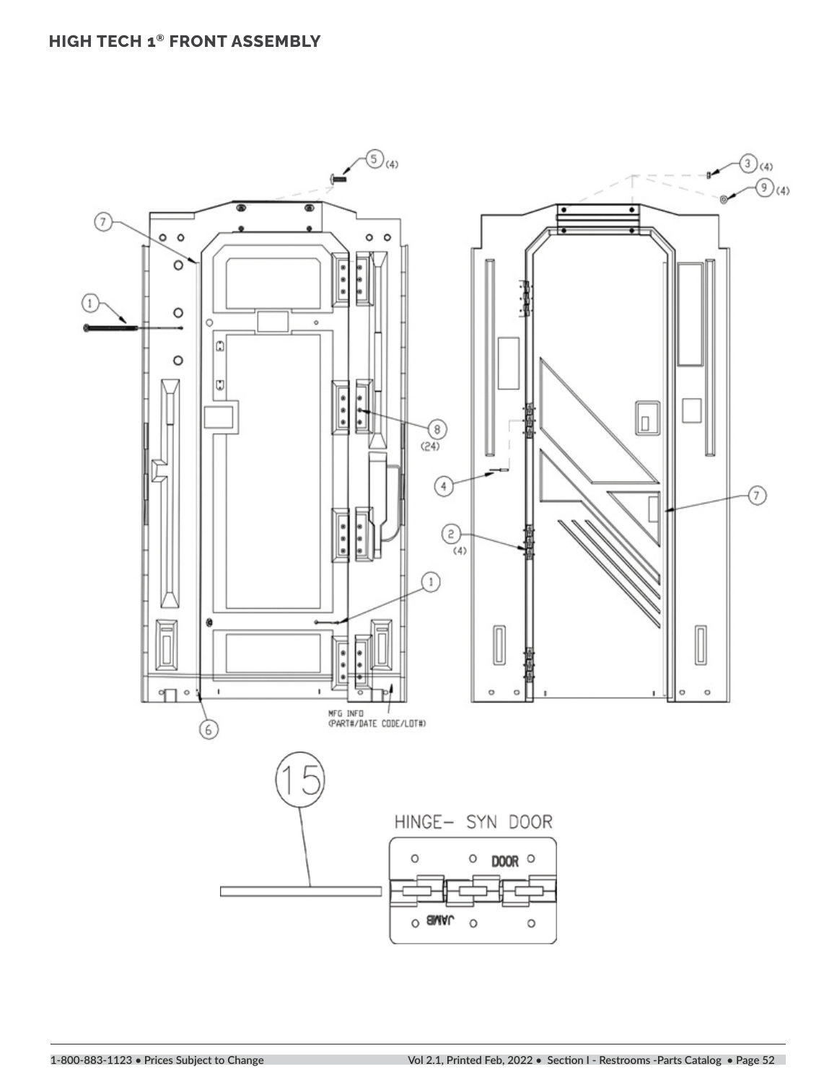